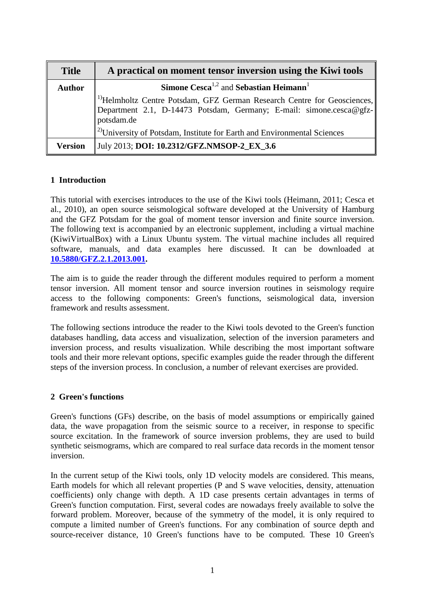| <b>Title</b>   | A practical on moment tensor inversion using the Kiwi tools                                                                                                              |
|----------------|--------------------------------------------------------------------------------------------------------------------------------------------------------------------------|
| <b>Author</b>  | Simone Cesca <sup>1,2</sup> and Sebastian Heimann <sup>1</sup>                                                                                                           |
|                | <sup>1)</sup> Helmholtz Centre Potsdam, GFZ German Research Centre for Geosciences,<br>Department 2.1, D-14473 Potsdam, Germany; E-mail: simone.cesca@gfz-<br>potsdam.de |
|                | $1^{2}$ University of Potsdam, Institute for Earth and Environmental Sciences                                                                                            |
| <b>Version</b> | July 2013; DOI: 10.2312/GFZ.NMSOP-2_EX_3.6                                                                                                                               |

# **1 Introduction**

This tutorial with exercises introduces to the use of the Kiwi tools (Heimann, 2011; Cesca et al., 2010), an open source seismological software developed at the University of Hamburg and the GFZ Potsdam for the goal of moment tensor inversion and finite source inversion. The following text is accompanied by an electronic supplement, including a virtual machine (KiwiVirtualBox) with a Linux Ubuntu system. The virtual machine includes all required software, manuals, and data examples here discussed. It can be downloaded at **[10.5880/GFZ.2.1.2013.001.](http://dx.doi.org/10.5880/GFZ.2.1.2013.001)**

The aim is to guide the reader through the different modules required to perform a moment tensor inversion. All moment tensor and source inversion routines in seismology require access to the following components: Green's functions, seismological data, inversion framework and results assessment.

The following sections introduce the reader to the Kiwi tools devoted to the Green's function databases handling, data access and visualization, selection of the inversion parameters and inversion process, and results visualization. While describing the most important software tools and their more relevant options, specific examples guide the reader through the different steps of the inversion process. In conclusion, a number of relevant exercises are provided.

# **2 Green's functions**

Green's functions (GFs) describe, on the basis of model assumptions or empirically gained data, the wave propagation from the seismic source to a receiver, in response to specific source excitation. In the framework of source inversion problems, they are used to build synthetic seismograms, which are compared to real surface data records in the moment tensor inversion.

In the current setup of the Kiwi tools, only 1D velocity models are considered. This means, Earth models for which all relevant properties (P and S wave velocities, density, attenuation coefficients) only change with depth. A 1D case presents certain advantages in terms of Green's function computation. First, several codes are nowadays freely available to solve the forward problem. Moreover, because of the symmetry of the model, it is only required to compute a limited number of Green's functions. For any combination of source depth and source-receiver distance, 10 Green's functions have to be computed. These 10 Green's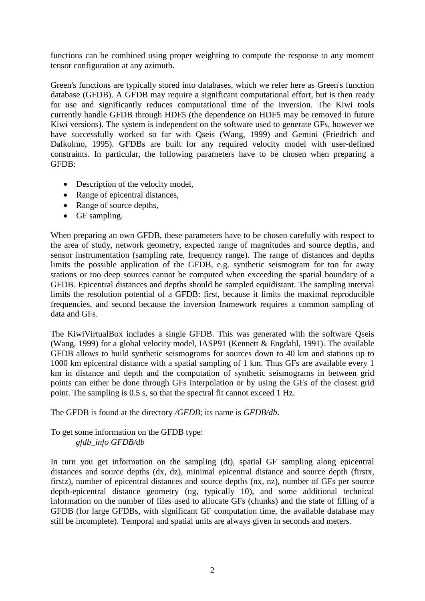functions can be combined using proper weighting to compute the response to any moment tensor configuration at any azimuth.

Green's functions are typically stored into databases, which we refer here as Green's function database (GFDB). A GFDB may require a significant computational effort, but is then ready for use and significantly reduces computational time of the inversion. The Kiwi tools currently handle GFDB through HDF5 (the dependence on HDF5 may be removed in future Kiwi versions). The system is independent on the software used to generate GFs, however we have successfully worked so far with Qseis (Wang, 1999) and Gemini (Friedrich and Dalkolmo, 1995). GFDBs are built for any required velocity model with user-defined constraints. In particular, the following parameters have to be chosen when preparing a GFDB:

- Description of the velocity model,
- Range of epicentral distances,
- Range of source depths,
- GF sampling.

When preparing an own GFDB, these parameters have to be chosen carefully with respect to the area of study, network geometry, expected range of magnitudes and source depths, and sensor instrumentation (sampling rate, frequency range). The range of distances and depths limits the possible application of the GFDB, e.g. synthetic seismogram for too far away stations or too deep sources cannot be computed when exceeding the spatial boundary of a GFDB. Epicentral distances and depths should be sampled equidistant. The sampling interval limits the resolution potential of a GFDB: first, because it limits the maximal reproducible frequencies, and second because the inversion framework requires a common sampling of data and GFs.

The KiwiVirtualBox includes a single GFDB. This was generated with the software Qseis (Wang, 1999) for a global velocity model, IASP91 (Kennett & Engdahl, 1991). The available GFDB allows to build synthetic seismograms for sources down to 40 km and stations up to 1000 km epicentral distance with a spatial sampling of 1 km. Thus GFs are available every 1 km in distance and depth and the computation of synthetic seismograms in between grid points can either be done through GFs interpolation or by using the GFs of the closest grid point. The sampling is 0.5 s, so that the spectral fit cannot exceed 1 Hz.

The GFDB is found at the directory */GFDB*; its name is *GFDB/db*.

To get some information on the GFDB type: *gfdb\_info GFDB/db*

In turn you get information on the sampling (dt), spatial GF sampling along epicentral distances and source depths (dx, dz), minimal epicentral distance and source depth (firstx, firstz), number of epicentral distances and source depths (nx, nz), number of GFs per source depth-epicentral distance geometry (ng, typically 10), and some additional technical information on the number of files used to allocate GFs (chunks) and the state of filling of a GFDB (for large GFDBs, with significant GF computation time, the available database may still be incomplete). Temporal and spatial units are always given in seconds and meters.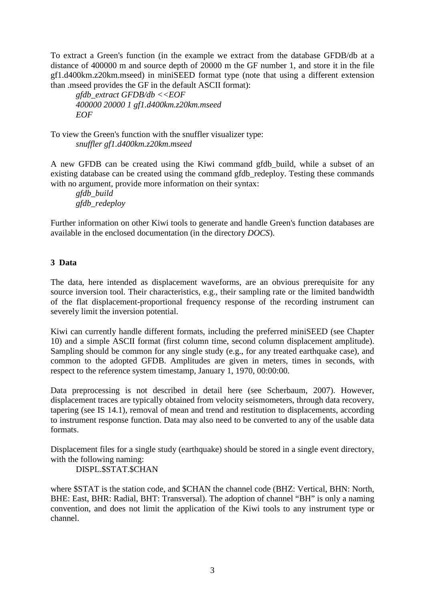To extract a Green's function (in the example we extract from the database GFDB/db at a distance of 400000 m and source depth of 20000 m the GF number 1, and store it in the file gf1.d400km.z20km.mseed) in miniSEED format type (note that using a different extension than .mseed provides the GF in the default ASCII format):

*gfdb\_extract GFDB/db <<EOF 400000 20000 1 gf1.d400km.z20km.mseed EOF*

To view the Green's function with the snuffler visualizer type: *snuffler gf1.d400km.z20km.mseed*

A new GFDB can be created using the Kiwi command gfdb\_build, while a subset of an existing database can be created using the command gfdb\_redeploy. Testing these commands with no argument, provide more information on their syntax:

*gfdb\_build gfdb\_redeploy*

Further information on other Kiwi tools to generate and handle Green's function databases are available in the enclosed documentation (in the directory *DOCS*).

# **3 Data**

The data, here intended as displacement waveforms, are an obvious prerequisite for any source inversion tool. Their characteristics, e.g., their sampling rate or the limited bandwidth of the flat displacement-proportional frequency response of the recording instrument can severely limit the inversion potential.

Kiwi can currently handle different formats, including the preferred miniSEED (see Chapter 10) and a simple ASCII format (first column time, second column displacement amplitude). Sampling should be common for any single study (e.g., for any treated earthquake case), and common to the adopted GFDB. Amplitudes are given in meters, times in seconds, with respect to the reference system timestamp, January 1, 1970, 00:00:00.

Data preprocessing is not described in detail here (see Scherbaum, 2007). However, displacement traces are typically obtained from velocity seismometers, through data recovery, tapering (see IS 14.1), removal of mean and trend and restitution to displacements, according to instrument response function. Data may also need to be converted to any of the usable data formats.

Displacement files for a single study (earthquake) should be stored in a single event directory, with the following naming:

DISPL.\$STAT.\$CHAN

where \$STAT is the station code, and \$CHAN the channel code (BHZ: Vertical, BHN: North, BHE: East, BHR: Radial, BHT: Transversal). The adoption of channel "BH" is only a naming convention, and does not limit the application of the Kiwi tools to any instrument type or channel.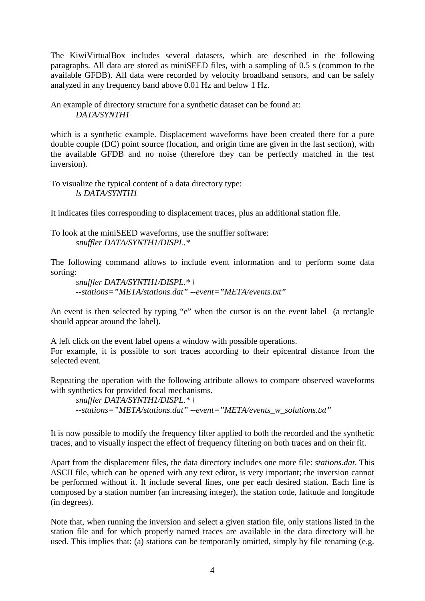The KiwiVirtualBox includes several datasets, which are described in the following paragraphs. All data are stored as miniSEED files, with a sampling of 0.5 s (common to the available GFDB). All data were recorded by velocity broadband sensors, and can be safely analyzed in any frequency band above 0.01 Hz and below 1 Hz.

An example of directory structure for a synthetic dataset can be found at: *DATA/SYNTH1*

which is a synthetic example. Displacement waveforms have been created there for a pure double couple (DC) point source (location, and origin time are given in the last section), with the available GFDB and no noise (therefore they can be perfectly matched in the test inversion).

To visualize the typical content of a data directory type: *ls DATA/SYNTH1*

It indicates files corresponding to displacement traces, plus an additional station file.

To look at the miniSEED waveforms, use the snuffler software: *snuffler DATA/SYNTH1/DISPL.\**

The following command allows to include event information and to perform some data sorting:

*snuffler DATA/SYNTH1/DISPL.\* \ --stations="META/stations.dat" --event="META/events.txt"*

An event is then selected by typing "e" when the cursor is on the event label (a rectangle should appear around the label).

A left click on the event label opens a window with possible operations. For example, it is possible to sort traces according to their epicentral distance from the selected event.

Repeating the operation with the following attribute allows to compare observed waveforms with synthetics for provided focal mechanisms.

*snuffler DATA/SYNTH1/DISPL.\* \ --stations="META/stations.dat" --event="META/events\_w\_solutions.txt"*

It is now possible to modify the frequency filter applied to both the recorded and the synthetic traces, and to visually inspect the effect of frequency filtering on both traces and on their fit.

Apart from the displacement files, the data directory includes one more file: *stations.dat*. This ASCII file, which can be opened with any text editor, is very important; the inversion cannot be performed without it. It include several lines, one per each desired station. Each line is composed by a station number (an increasing integer), the station code, latitude and longitude (in degrees).

Note that, when running the inversion and select a given station file, only stations listed in the station file and for which properly named traces are available in the data directory will be used. This implies that: (a) stations can be temporarily omitted, simply by file renaming (e.g.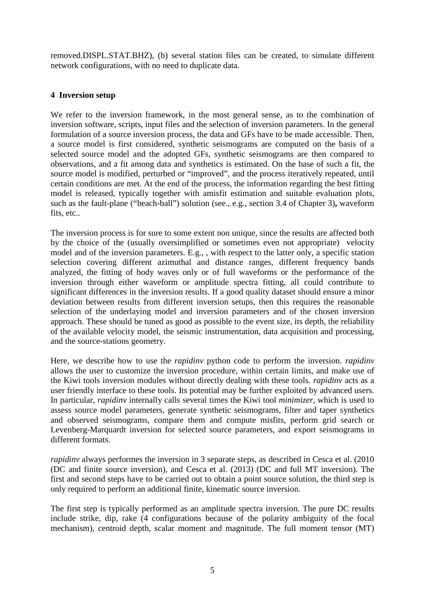removed.DISPL.STAT.BHZ), (b) several station files can be created, to simulate different network configurations, with no need to duplicate data.

# **4 Inversion setup**

We refer to the inversion framework, in the most general sense, as to the combination of inversion software, scripts, input files and the selection of inversion parameters. In the general formulation of a source inversion process, the data and GFs have to be made accessible. Then, a source model is first considered, synthetic seismograms are computed on the basis of a selected source model and the adopted GFs, synthetic seismograms are then compared to observations, and a fit among data and synthetics is estimated. On the base of such a fit, the source model is modified, perturbed or "improved", and the process iteratively repeated, until certain conditions are met. At the end of the process, the information regarding the best fitting model is released, typically together with amisfit estimation and suitable evaluation plots, such as the fault-plane ("beach-ball") solution (see., e.g., section 3.4 of Chapter 3)**,** waveform fits, etc..

The inversion process is for sure to some extent non unique, since the results are affected both by the choice of the (usually oversimplified or sometimes even not appropriate) velocity model and of the inversion parameters. E.g., , with respect to the latter only, a specific station selection covering different azimuthal and distance ranges, different frequency bands analyzed, the fitting of body waves only or of full waveforms or the performance of the inversion through either waveform or amplitude spectra fitting, all could contribute to significant differences in the inversion results. If a good quality dataset should ensure a minor deviation between results from different inversion setups, then this requires the reasonable selection of the underlaying model and inversion parameters and of the chosen inversion approach. These should be tuned as good as possible to the event size, its depth, the reliability of the available velocity model, the seismic instrumentation, data acquisition and processing, and the source-stations geometry.

Here, we describe how to use the *rapidinv* python code to perform the inversion. *rapidinv* allows the user to customize the inversion procedure, within certain limits, and make use of the Kiwi tools inversion modules without directly dealing with these tools. *rapidinv* acts as a user friendly interface to these tools. Its potential may be further exploited by advanced users. In particular, *rapidinv* internally calls several times the Kiwi tool *minimizer*, which is used to assess source model parameters, generate synthetic seismograms, filter and taper synthetics and observed seismograms, compare them and compute misfits, perform grid search or Levenberg-Marquardt inversion for selected source parameters, and export seismograms in different formats.

*rapidinv* always performes the inversion in 3 separate steps, as described in Cesca et al. (2010) (DC and finite source inversion), and Cesca et al. (2013) (DC and full MT inversion). The first and second steps have to be carried out to obtain a point source solution, the third step is only required to perform an additional finite, kinematic source inversion.

The first step is typically performed as an amplitude spectra inversion. The pure DC results include strike, dip, rake (4 configurations because of the polarity ambiguity of the focal mechanism), centroid depth, scalar moment and magnitude. The full moment tensor (MT)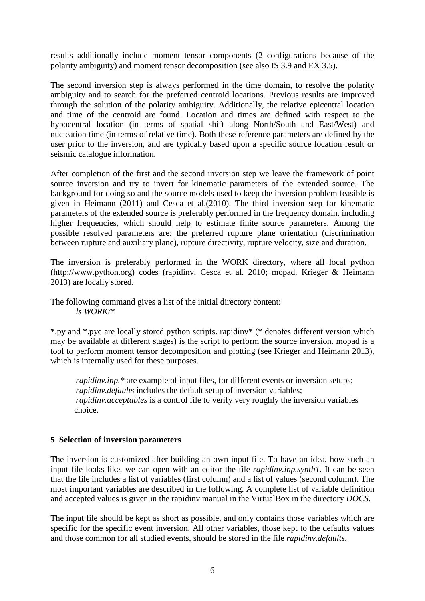results additionally include moment tensor components (2 configurations because of the polarity ambiguity) and moment tensor decomposition (see also IS 3.9 and EX 3.5).

The second inversion step is always performed in the time domain, to resolve the polarity ambiguity and to search for the preferred centroid locations. Previous results are improved through the solution of the polarity ambiguity. Additionally, the relative epicentral location and time of the centroid are found. Location and times are defined with respect to the hypocentral location (in terms of spatial shift along North/South and East/West) and nucleation time (in terms of relative time). Both these reference parameters are defined by the user prior to the inversion, and are typically based upon a specific source location result or seismic catalogue information.

After completion of the first and the second inversion step we leave the framework of point source inversion and try to invert for kinematic parameters of the extended source. The background for doing so and the source models used to keep the inversion problem feasible is given in Heimann (2011) and Cesca et al.(2010). The third inversion step for kinematic parameters of the extended source is preferably performed in the frequency domain, including higher frequencies, which should help to estimate finite source parameters. Among the possible resolved parameters are: the preferred rupture plane orientation (discrimination between rupture and auxiliary plane), rupture directivity, rupture velocity, size and duration.

The inversion is preferably performed in the WORK directory, where all local python (http://www.python.org) codes (rapidinv, Cesca et al. 2010; mopad, Krieger & Heimann 2013) are locally stored.

The following command gives a list of the initial directory content: *ls WORK/\**

\*.py and \*.pyc are locally stored python scripts. rapidinv\* (\* denotes different version which may be available at different stages) is the script to perform the source inversion. mopad is a tool to perform moment tensor decomposition and plotting (see Krieger and Heimann 2013), which is internally used for these purposes.

*rapidinv.inp.*\* are example of input files, for different events or inversion setups; *rapidinv.defaults* includes the default setup of inversion variables; *rapidinv.acceptables* is a control file to verify very roughly the inversion variables choice.

# **5 Selection of inversion parameters**

The inversion is customized after building an own input file. To have an idea, how such an input file looks like, we can open with an editor the file *rapidinv.inp.synth1*. It can be seen that the file includes a list of variables (first column) and a list of values (second column). The most important variables are described in the following. A complete list of variable definition and accepted values is given in the rapidinv manual in the VirtualBox in the directory *DOCS.*

The input file should be kept as short as possible, and only contains those variables which are specific for the specific event inversion. All other variables, those kept to the defaults values and those common for all studied events, should be stored in the file *rapidinv.defaults*.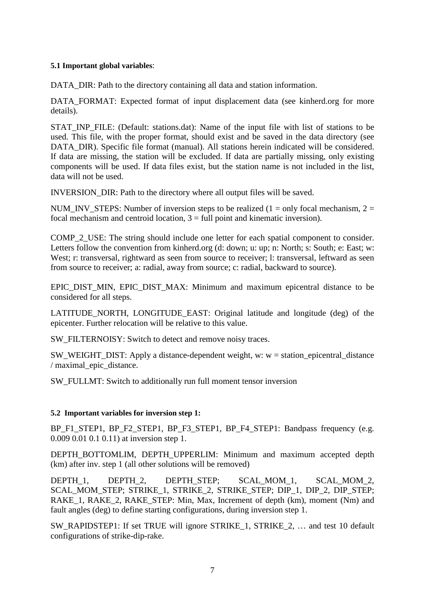## **5.1 Important global variables**:

DATA DIR: Path to the directory containing all data and station information.

DATA\_FORMAT: Expected format of input displacement data (see kinherd.org for more details).

STAT\_INP\_FILE: (Default: stations.dat): Name of the input file with list of stations to be used. This file, with the proper format, should exist and be saved in the data directory (see DATA DIR). Specific file format (manual). All stations herein indicated will be considered. If data are missing, the station will be excluded. If data are partially missing, only existing components will be used. If data files exist, but the station name is not included in the list, data will not be used.

INVERSION\_DIR: Path to the directory where all output files will be saved.

NUM INV STEPS: Number of inversion steps to be realized (1 = only focal mechanism, 2 = focal mechanism and centroid location,  $3 =$  full point and kinematic inversion).

COMP\_2\_USE: The string should include one letter for each spatial component to consider. Letters follow the convention from kinherd.org (d: down; u: up; n: North; s: South; e: East; w: West; r: transversal, rightward as seen from source to receiver; l: transversal, leftward as seen from source to receiver; a: radial, away from source; c: radial, backward to source).

EPIC DIST MIN, EPIC DIST MAX: Minimum and maximum epicentral distance to be considered for all steps.

LATITUDE NORTH, LONGITUDE EAST: Original latitude and longitude (deg) of the epicenter. Further relocation will be relative to this value.

SW\_FILTERNOISY: Switch to detect and remove noisy traces.

SW\_WEIGHT\_DIST: Apply a distance-dependent weight, w:  $w =$  station epicentral distance / maximal\_epic\_distance.

SW\_FULLMT: Switch to additionally run full moment tensor inversion

## **5.2 Important variables for inversion step 1:**

BP\_F1\_STEP1, BP\_F2\_STEP1, BP\_F3\_STEP1, BP\_F4\_STEP1: Bandpass frequency (e.g. 0.009 0.01 0.1 0.11) at inversion step 1.

DEPTH\_BOTTOMLIM, DEPTH\_UPPERLIM: Minimum and maximum accepted depth (km) after inv. step 1 (all other solutions will be removed)

DEPTH\_1, DEPTH\_2, DEPTH\_STEP; SCAL\_MOM\_1, SCAL\_MOM\_2, SCAL\_MOM\_STEP; STRIKE\_1, STRIKE\_2, STRIKE\_STEP; DIP\_1, DIP\_2, DIP\_STEP; RAKE\_1, RAKE\_2, RAKE\_STEP: Min, Max, Increment of depth (km), moment (Nm) and fault angles (deg) to define starting configurations, during inversion step 1.

SW\_RAPIDSTEP1: If set TRUE will ignore STRIKE\_1, STRIKE\_2, … and test 10 default configurations of strike-dip-rake.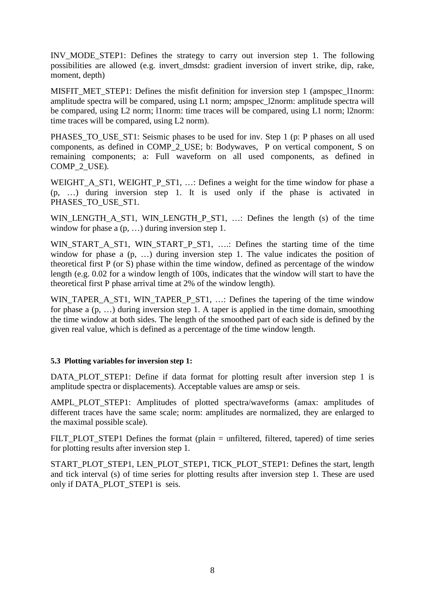INV\_MODE\_STEP1: Defines the strategy to carry out inversion step 1. The following possibilities are allowed (e.g. invert\_dmsdst: gradient inversion of invert strike, dip, rake, moment, depth)

MISFIT MET\_STEP1: Defines the misfit definition for inversion step 1 (ampspec\_l1norm: amplitude spectra will be compared, using L1 norm; ampspec\_l2norm: amplitude spectra will be compared, using L2 norm; l1norm: time traces will be compared, using L1 norm; l2norm: time traces will be compared, using L2 norm).

PHASES TO USE ST1: Seismic phases to be used for inv. Step 1 (p: P phases on all used components, as defined in COMP\_2\_USE; b: Bodywaves, P on vertical component, S on remaining components; a: Full waveform on all used components, as defined in COMP<sub>2</sub> USE).

WEIGHT\_A\_ST1, WEIGHT\_P\_ST1, ...: Defines a weight for the time window for phase a (p, …) during inversion step 1. It is used only if the phase is activated in PHASES\_TO\_USE\_ST1.

WIN\_LENGTH\_A\_ST1, WIN\_LENGTH\_P\_ST1, …: Defines the length (s) of the time window for phase a  $(p, ...)$  during inversion step 1.

WIN\_START\_A\_ST1, WIN\_START\_P\_ST1, ….: Defines the starting time of the time window for phase a (p, ...) during inversion step 1. The value indicates the position of theoretical first P (or S) phase within the time window, defined as percentage of the window length (e.g. 0.02 for a window length of 100s, indicates that the window will start to have the theoretical first P phase arrival time at 2% of the window length).

WIN\_TAPER\_A\_ST1, WIN\_TAPER\_P\_ST1, ...: Defines the tapering of the time window for phase a (p, …) during inversion step 1. A taper is applied in the time domain, smoothing the time window at both sides. The length of the smoothed part of each side is defined by the given real value, which is defined as a percentage of the time window length.

## **5.3 Plotting variables for inversion step 1:**

DATA\_PLOT\_STEP1: Define if data format for plotting result after inversion step 1 is amplitude spectra or displacements). Acceptable values are amsp or seis.

AMPL\_PLOT\_STEP1: Amplitudes of plotted spectra/waveforms (amax: amplitudes of different traces have the same scale; norm: amplitudes are normalized, they are enlarged to the maximal possible scale).

FILT\_PLOT\_STEP1 Defines the format (plain = unfiltered, filtered, tapered) of time series for plotting results after inversion step 1.

START\_PLOT\_STEP1, LEN\_PLOT\_STEP1, TICK\_PLOT\_STEP1: Defines the start, length and tick interval (s) of time series for plotting results after inversion step 1. These are used only if DATA\_PLOT\_STEP1 is seis.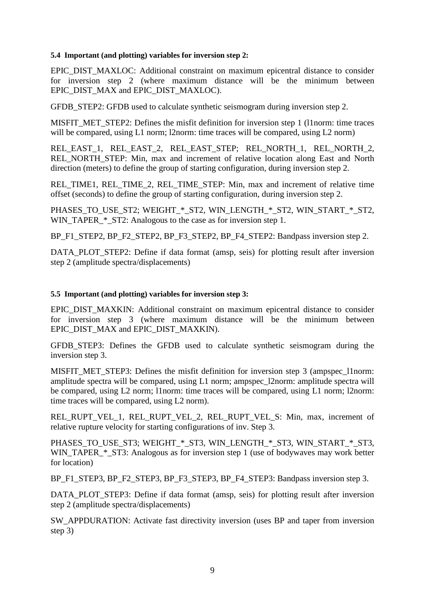#### **5.4 Important (and plotting) variables for inversion step 2:**

EPIC\_DIST\_MAXLOC: Additional constraint on maximum epicentral distance to consider for inversion step 2 (where maximum distance will be the minimum between EPIC\_DIST\_MAX and EPIC\_DIST\_MAXLOC).

GFDB STEP2: GFDB used to calculate synthetic seismogram during inversion step 2.

MISFIT\_MET\_STEP2: Defines the misfit definition for inversion step 1 (11 norm: time traces will be compared, using L1 norm; l2norm: time traces will be compared, using L2 norm)

REL\_EAST\_1, REL\_EAST\_2, REL\_EAST\_STEP; REL\_NORTH\_1, REL\_NORTH\_2, REL\_NORTH\_STEP: Min, max and increment of relative location along East and North direction (meters) to define the group of starting configuration, during inversion step 2.

REL\_TIME1, REL\_TIME\_2, REL\_TIME\_STEP: Min, max and increment of relative time offset (seconds) to define the group of starting configuration, during inversion step 2.

PHASES TO USE ST2; WEIGHT \* ST2, WIN LENGTH \* ST2, WIN\_START \* ST2, WIN\_TAPER\_\*\_ST2: Analogous to the case as for inversion step 1.

BP\_F1\_STEP2, BP\_F2\_STEP2, BP\_F3\_STEP2, BP\_F4\_STEP2: Bandpass inversion step 2.

DATA\_PLOT\_STEP2: Define if data format (amsp, seis) for plotting result after inversion step 2 (amplitude spectra/displacements)

## **5.5 Important (and plotting) variables for inversion step 3:**

EPIC DIST MAXKIN: Additional constraint on maximum epicentral distance to consider for inversion step 3 (where maximum distance will be the minimum between EPIC\_DIST\_MAX and EPIC\_DIST\_MAXKIN).

GFDB\_STEP3: Defines the GFDB used to calculate synthetic seismogram during the inversion step 3.

MISFIT\_MET\_STEP3: Defines the misfit definition for inversion step 3 (ampspec\_l1norm: amplitude spectra will be compared, using L1 norm; ampspec\_l2norm: amplitude spectra will be compared, using L2 norm; l1norm: time traces will be compared, using L1 norm; l2norm: time traces will be compared, using L2 norm).

REL\_RUPT\_VEL\_1, REL\_RUPT\_VEL\_2, REL\_RUPT\_VEL\_S: Min, max, increment of relative rupture velocity for starting configurations of inv. Step 3.

PHASES TO USE ST3; WEIGHT  $*$  ST3, WIN\_LENGTH  $*$  ST3, WIN\_START  $*$  ST3, WIN\_TAPER\_\*\_ST3: Analogous as for inversion step 1 (use of bodywaves may work better for location)

BP\_F1\_STEP3, BP\_F2\_STEP3, BP\_F3\_STEP3, BP\_F4\_STEP3: Bandpass inversion step 3.

DATA\_PLOT\_STEP3: Define if data format (amsp, seis) for plotting result after inversion step 2 (amplitude spectra/displacements)

SW\_APPDURATION: Activate fast directivity inversion (uses BP and taper from inversion step 3)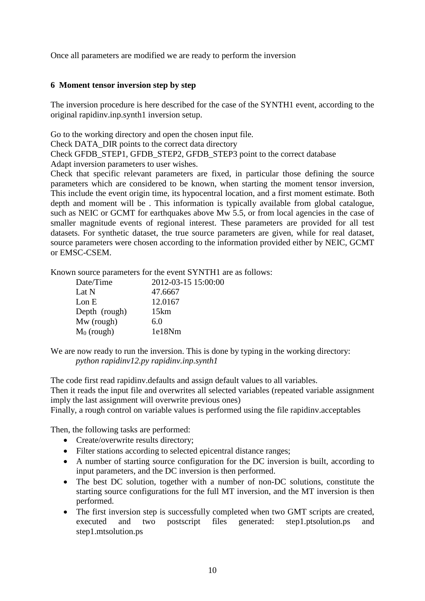Once all parameters are modified we are ready to perform the inversion

# **6 Moment tensor inversion step by step**

The inversion procedure is here described for the case of the SYNTH1 event, according to the original rapidinv.inp.synth1 inversion setup.

Go to the working directory and open the chosen input file.

Check DATA\_DIR points to the correct data directory

Check GFDB\_STEP1, GFDB\_STEP2, GFDB\_STEP3 point to the correct database

Adapt inversion parameters to user wishes.

Check that specific relevant parameters are fixed, in particular those defining the source parameters which are considered to be known, when starting the moment tensor inversion, This include the event origin time, its hypocentral location, and a first moment estimate. Both depth and moment will be . This information is typically available from global catalogue, such as NEIC or GCMT for earthquakes above Mw 5.5, or from local agencies in the case of smaller magnitude events of regional interest. These parameters are provided for all test datasets. For synthetic dataset, the true source parameters are given, while for real dataset, source parameters were chosen according to the information provided either by NEIC, GCMT or EMSC-CSEM.

Known source parameters for the event SYNTH1 are as follows:

| Date/Time     | 2012-03-15 15:00:00 |
|---------------|---------------------|
| Lat N         | 47.6667             |
| Lon E         | 12.0167             |
| Depth (rough) | 15km                |
| Mw (rough)    | 6.0                 |
| $M_0$ (rough) | 1e18Nm              |

We are now ready to run the inversion. This is done by typing in the working directory: *python rapidinv12.py rapidinv.inp.synth1*

The code first read rapidinv.defaults and assign default values to all variables.

Then it reads the input file and overwrites all selected variables (repeated variable assignment imply the last assignment will overwrite previous ones)

Finally, a rough control on variable values is performed using the file rapidinv.acceptables

Then, the following tasks are performed:

- Create/overwrite results directory;
- Filter stations according to selected epicentral distance ranges;
- A number of starting source configuration for the DC inversion is built, according to input parameters, and the DC inversion is then performed.
- The best DC solution, together with a number of non-DC solutions, constitute the starting source configurations for the full MT inversion, and the MT inversion is then performed.
- The first inversion step is successfully completed when two GMT scripts are created, executed and two postscript files generated: step1.ptsolution.ps and step1.mtsolution.ps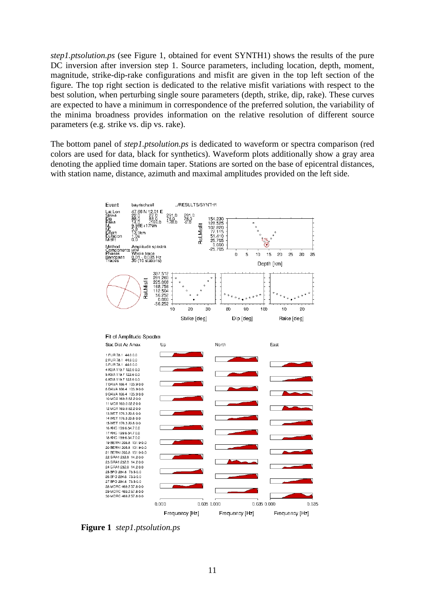*step1.ptsolution.ps* (see Figure 1, obtained for event SYNTH1) shows the results of the pure DC inversion after inversion step 1. Source parameters, including location, depth, moment, magnitude, strike-dip-rake configurations and misfit are given in the top left section of the figure. The top right section is dedicated to the relative misfit variations with respect to the best solution, when perturbing single soure parameters (depth, strike, dip, rake). These curves are expected to have a minimum in correspondence of the preferred solution, the variability of the minima broadness provides information on the relative resolution of different source parameters (e.g. strike vs. dip vs. rake).

The bottom panel of *step1.ptsolution.ps* is dedicated to waveform or spectra comparison (red colors are used for data, black for synthetics). Waveform plots additionally show a gray area denoting the applied time domain taper. Stations are sorted on the base of epicentral distances, with station name, distance, azimuth and maximal amplitudes provided on the left side.



**Figure 1** *step1.ptsolution.ps*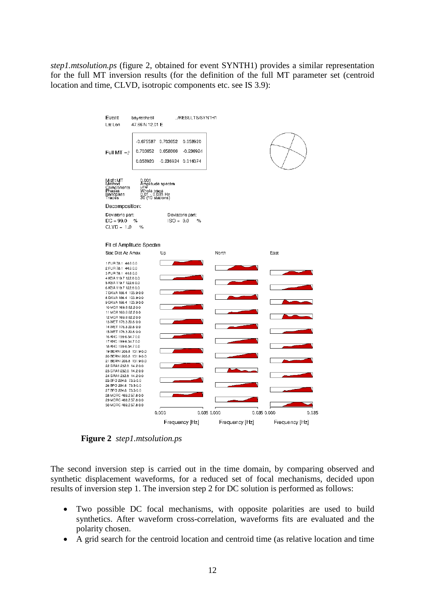*step1.mtsolution.ps* (figure 2, obtained for event SYNTH1) provides a similar representation for the full MT inversion results (for the definition of the full MT parameter set (centroid location and time, CLVD, isotropic components etc. see IS 3.9):



**Figure 2** *step1.mtsolution.ps*

The second inversion step is carried out in the time domain, by comparing observed and synthetic displacement waveforms, for a reduced set of focal mechanisms, decided upon results of inversion step 1. The inversion step 2 for DC solution is performed as follows:

- Two possible DC focal mechanisms, with opposite polarities are used to build synthetics. After waveform cross-correlation, waveforms fits are evaluated and the polarity chosen.
- A grid search for the centroid location and centroid time (as relative location and time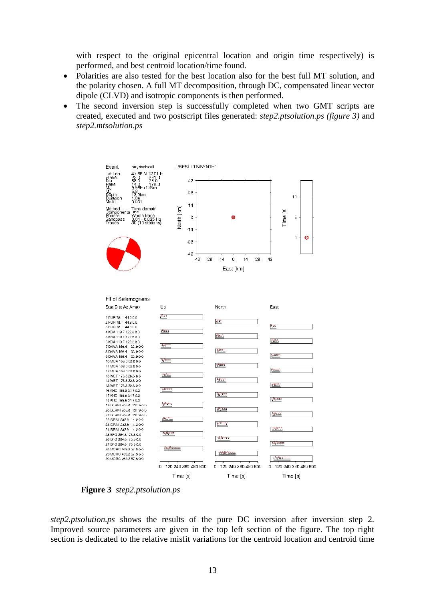with respect to the original epicentral location and origin time respectively) is performed, and best centroid location/time found.

- Polarities are also tested for the best location also for the best full MT solution, and the polarity chosen. A full MT decomposition, through DC, compensated linear vector dipole (CLVD) and isotropic components is then performed.
- The second inversion step is successfully completed when two GMT scripts are created, executed and two postscript files generated: *step2.ptsolution.ps (figure 3)* and *step2.mtsolution.ps*



**Figure 3** *step2.ptsolution.ps*

*step2.ptsolution.ps* shows the results of the pure DC inversion after inversion step 2. Improved source parameters are given in the top left section of the figure. The top right section is dedicated to the relative misfit variations for the centroid location and centroid time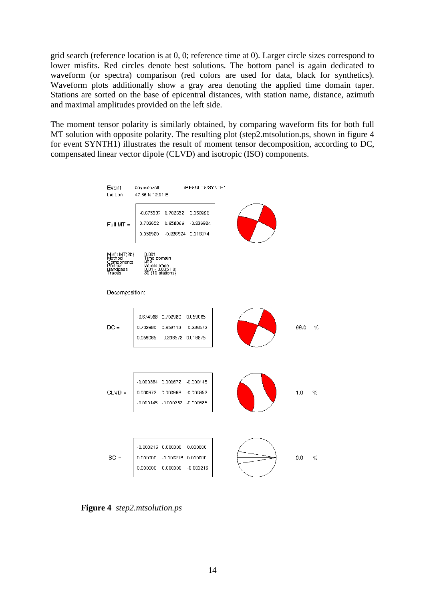grid search (reference location is at 0, 0; reference time at 0). Larger circle sizes correspond to lower misfits. Red circles denote best solutions. The bottom panel is again dedicated to waveform (or spectra) comparison (red colors are used for data, black for synthetics). Waveform plots additionally show a gray area denoting the applied time domain taper. Stations are sorted on the base of epicentral distances, with station name, distance, azimuth and maximal amplitudes provided on the left side.

The moment tensor polarity is similarly obtained, by comparing waveform fits for both full MT solution with opposite polarity. The resulting plot (step2.mtsolution.ps, shown in figure 4 for event SYNTH1) illustrates the result of moment tensor decomposition, according to DC, compensated linear vector dipole (CLVD) and isotropic (ISO) components.



**Figure 4** *step2.mtsolution.ps*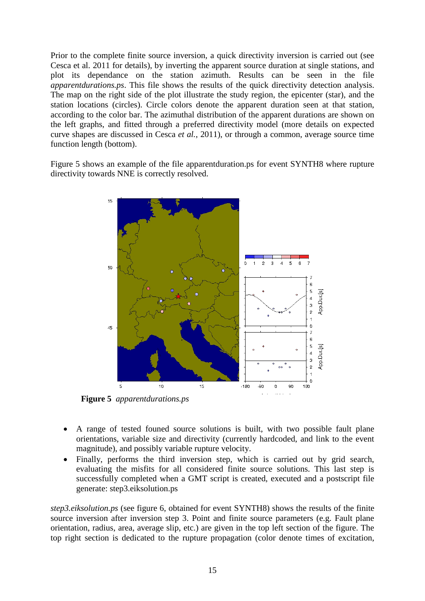Prior to the complete finite source inversion, a quick directivity inversion is carried out (see Cesca et al. 2011 for details), by inverting the apparent source duration at single stations, and plot its dependance on the station azimuth. Results can be seen in the file *apparentdurations.ps*. This file shows the results of the quick directivity detection analysis. The map on the right side of the plot illustrate the study region, the epicenter (star), and the station locations (circles). Circle colors denote the apparent duration seen at that station, according to the color bar. The azimuthal distribution of the apparent durations are shown on the left graphs, and fitted through a preferred directivity model (more details on expected curve shapes are discussed in Cesca *et al.*, 2011), or through a common, average source time function length (bottom).

Figure 5 shows an example of the file apparentduration.ps for event SYNTH8 where rupture directivity towards NNE is correctly resolved.



**Figure 5** *apparentdurations.ps*

- A range of tested founed source solutions is built, with two possible fault plane orientations, variable size and directivity (currently hardcoded, and link to the event magnitude), and possibly variable rupture velocity.
- Finally, performs the third inversion step, which is carried out by grid search, evaluating the misfits for all considered finite source solutions. This last step is successfully completed when a GMT script is created, executed and a postscript file generate: step3.eiksolution.ps

*step3.eiksolution.ps* (see figure 6, obtained for event SYNTH8) shows the results of the finite source inversion after inversion step 3. Point and finite source parameters (e.g. Fault plane orientation, radius, area, average slip, etc.) are given in the top left section of the figure. The top right section is dedicated to the rupture propagation (color denote times of excitation,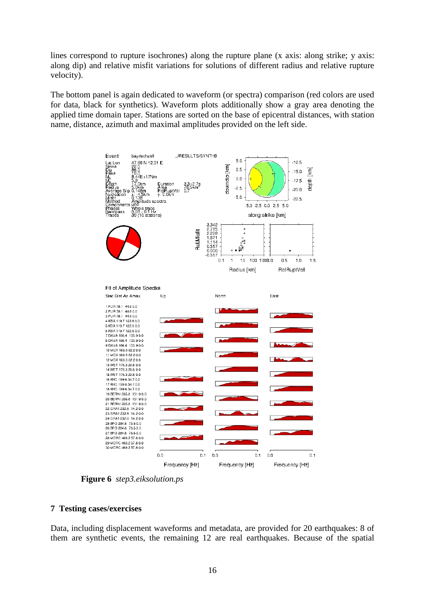lines correspond to rupture isochrones) along the rupture plane (x axis: along strike; y axis: along dip) and relative misfit variations for solutions of different radius and relative rupture velocity).

The bottom panel is again dedicated to waveform (or spectra) comparison (red colors are used for data, black for synthetics). Waveform plots additionally show a gray area denoting the applied time domain taper. Stations are sorted on the base of epicentral distances, with station name, distance, azimuth and maximal amplitudes provided on the left side.



**Figure 6** *step3.eiksolution.ps*

# **7 Testing cases/exercises**

Data, including displacement waveforms and metadata, are provided for 20 earthquakes: 8 of them are synthetic events, the remaining 12 are real earthquakes. Because of the spatial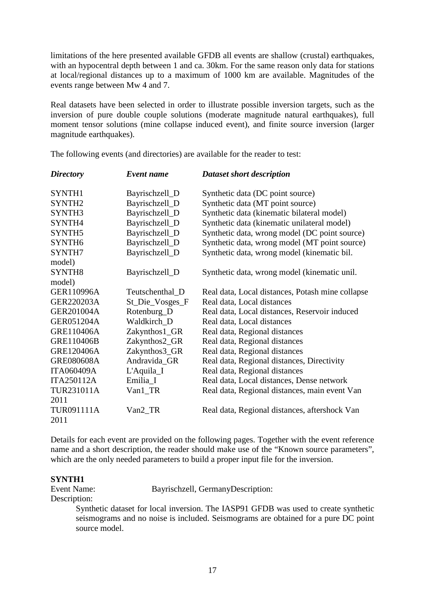limitations of the here presented available GFDB all events are shallow (crustal) earthquakes, with an hypocentral depth between 1 and ca. 30km. For the same reason only data for stations at local/regional distances up to a maximum of 1000 km are available. Magnitudes of the events range between Mw 4 and 7.

Real datasets have been selected in order to illustrate possible inversion targets, such as the inversion of pure double couple solutions (moderate magnitude natural earthquakes), full moment tensor solutions (mine collapse induced event), and finite source inversion (larger magnitude earthquakes).

| <b>Directory</b>   | Event name      | Dataset short description                        |
|--------------------|-----------------|--------------------------------------------------|
| SYNTH1             | Bayrischzell_D  | Synthetic data (DC point source)                 |
| SYNTH <sub>2</sub> | Bayrischzell_D  | Synthetic data (MT point source)                 |
| SYNTH3             | Bayrischzell_D  | Synthetic data (kinematic bilateral model)       |
| SYNTH4             | Bayrischzell_D  | Synthetic data (kinematic unilateral model)      |
| SYNTH5             | Bayrischzell_D  | Synthetic data, wrong model (DC point source)    |
| SYNTH <sub>6</sub> | Bayrischzell_D  | Synthetic data, wrong model (MT point source)    |
| SYNTH7             | Bayrischzell_D  | Synthetic data, wrong model (kinematic bil.      |
| model)             |                 |                                                  |
| SYNTH <sub>8</sub> | Bayrischzell_D  | Synthetic data, wrong model (kinematic unil.     |
| model)             |                 |                                                  |
| GER110996A         | Teutschenthal_D | Real data, Local distances, Potash mine collapse |
| GER220203A         | St_Die_Vosges_F | Real data, Local distances                       |
| <b>GER201004A</b>  | Rotenburg_D     | Real data, Local distances, Reservoir induced    |
| <b>GER051204A</b>  | Waldkirch D     | Real data, Local distances                       |
| GRE110406A         | Zakynthos1_GR   | Real data, Regional distances                    |
| GRE110406B         | Zakynthos2_GR   | Real data, Regional distances                    |
| GRE120406A         | Zakynthos3_GR   | Real data, Regional distances                    |
| <b>GRE080608A</b>  | Andravida_GR    | Real data, Regional distances, Directivity       |
| <b>ITA060409A</b>  | L'Aquila_I      | Real data, Regional distances                    |
| <b>ITA250112A</b>  | Emilia_I        | Real data, Local distances, Dense network        |
| TUR231011A         | Van1_TR         | Real data, Regional distances, main event Van    |
| 2011               |                 |                                                  |
| TUR091111A<br>2011 | Van2_TR         | Real data, Regional distances, aftershock Van    |

The following events (and directories) are available for the reader to test:

Details for each event are provided on the following pages. Together with the event reference name and a short description, the reader should make use of the "Known source parameters", which are the only needed parameters to build a proper input file for the inversion.

## **SYNTH1**

Event Name: Bayrischzell, GermanyDescription:

Description:

Synthetic dataset for local inversion. The IASP91 GFDB was used to create synthetic seismograms and no noise is included. Seismograms are obtained for a pure DC point source model.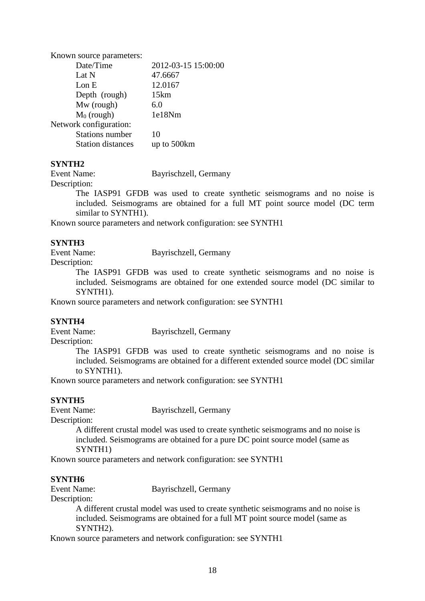| Known source parameters: |                     |
|--------------------------|---------------------|
| Date/Time                | 2012-03-15 15:00:00 |
| Lat N                    | 47.6667             |
| Lon E                    | 12.0167             |
| Depth (rough)            | 15km                |
| Mw (rough)               | 6.0                 |
| $M_0$ (rough)            | 1e18Nm              |
| Network configuration:   |                     |
| <b>Stations number</b>   | 10                  |
| <b>Station distances</b> | up to 500km         |
|                          |                     |

## **SYNTH2**

Description:

Event Name: Bayrischzell, Germany

The IASP91 GFDB was used to create synthetic seismograms and no noise is included. Seismograms are obtained for a full MT point source model (DC term similar to SYNTH1).

Known source parameters and network configuration: see SYNTH1

# **SYNTH3**

Event Name: Bayrischzell, Germany

Description:

The IASP91 GFDB was used to create synthetic seismograms and no noise is included. Seismograms are obtained for one extended source model (DC similar to SYNTH1).

Known source parameters and network configuration: see SYNTH1

## **SYNTH4**

Event Name: Bayrischzell, Germany

Description:

The IASP91 GFDB was used to create synthetic seismograms and no noise is included. Seismograms are obtained for a different extended source model (DC similar to SYNTH1).

Known source parameters and network configuration: see SYNTH1

# **SYNTH5**

Event Name: Bayrischzell, Germany

Description:

A different crustal model was used to create synthetic seismograms and no noise is included. Seismograms are obtained for a pure DC point source model (same as SYNTH1)

Known source parameters and network configuration: see SYNTH1

## **SYNTH6**

Event Name: Bayrischzell, Germany

Description:

A different crustal model was used to create synthetic seismograms and no noise is included. Seismograms are obtained for a full MT point source model (same as SYNTH2).

Known source parameters and network configuration: see SYNTH1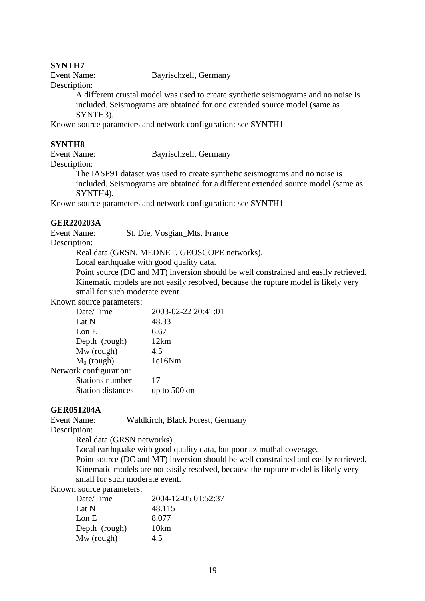## **SYNTH7**

Event Name: Bayrischzell, Germany

Description:

A different crustal model was used to create synthetic seismograms and no noise is included. Seismograms are obtained for one extended source model (same as SYNTH3).

Known source parameters and network configuration: see SYNTH1

## **SYNTH8**

Event Name: Bayrischzell, Germany

Description:

The IASP91 dataset was used to create synthetic seismograms and no noise is included. Seismograms are obtained for a different extended source model (same as SYNTH4).

Known source parameters and network configuration: see SYNTH1

# **GER220203A**

Event Name: St. Die, Vosgian\_Mts, France

Description:

Real data (GRSN, MEDNET, GEOSCOPE networks).

Local earthquake with good quality data.

Point source (DC and MT) inversion should be well constrained and easily retrieved. Kinematic models are not easily resolved, because the rupture model is likely very small for such moderate event.

Known source parameters:

| 2003-02-22 20:41:01 |
|---------------------|
| 48.33               |
| 6.67                |
| 12km                |
| 4.5                 |
| 1e16Nm              |
|                     |
| 17                  |
| up to 500km         |
|                     |

# **GER051204A**

Event Name: Waldkirch, Black Forest, Germany

Description:

Real data (GRSN networks).

Local earthquake with good quality data, but poor azimuthal coverage. Point source (DC and MT) inversion should be well constrained and easily retrieved. Kinematic models are not easily resolved, because the rupture model is likely very small for such moderate event.

# Known source parameters:

| Date/Time     | 2004-12-05 01:52:37 |
|---------------|---------------------|
| Lat N         | 48.115              |
| Lon $E$       | 8.077               |
| Depth (rough) | 10km                |
| Mw (rough)    | 4.5                 |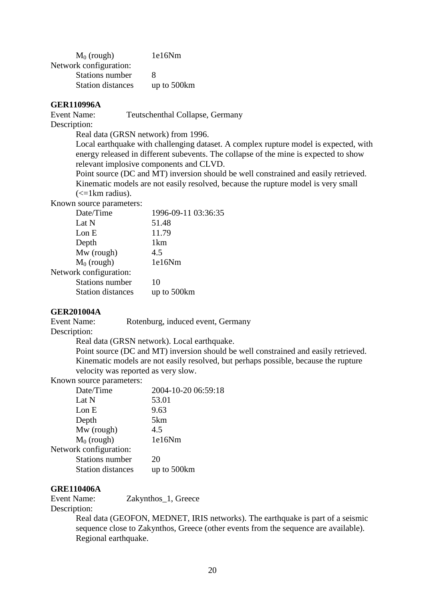| $M_0$ (rough)            | 1e16Nm      |
|--------------------------|-------------|
| Network configuration:   |             |
| Stations number          | 8           |
| <b>Station distances</b> | up to 500km |

#### **GER110996A**

Event Name: Teutschenthal Collapse, Germany

Description:

Real data (GRSN network) from 1996.

Local earthquake with challenging dataset. A complex rupture model is expected, with energy released in different subevents. The collapse of the mine is expected to show relevant implosive components and CLVD.

Point source (DC and MT) inversion should be well constrained and easily retrieved. Kinematic models are not easily resolved, because the rupture model is very small  $\left(\leq 1 \text{ km radius}\right)$ .

Known source parameters:

| Date/Time                | 1996-09-11 03:36:35 |
|--------------------------|---------------------|
| Lat N                    | 51.48               |
| Lon E                    | 11.79               |
| Depth                    | 1km                 |
| Mw (rough)               | 4.5                 |
| $M_0$ (rough)            | 1e16Nm              |
| Network configuration:   |                     |
| <b>Stations number</b>   | 10                  |
| <b>Station distances</b> | up to 500km         |
|                          |                     |

#### **GER201004A**

Event Name: Rotenburg, induced event, Germany

Description:

Real data (GRSN network). Local earthquake.

Point source (DC and MT) inversion should be well constrained and easily retrieved. Kinematic models are not easily resolved, but perhaps possible, because the rupture velocity was reported as very slow.

Known source parameters:

| Date/Time                | 2004-10-20 06:59:18 |
|--------------------------|---------------------|
| Lat N                    | 53.01               |
| Lon E                    | 9.63                |
| Depth                    | 5km                 |
| Mw (rough)               | 4.5                 |
| $M_0$ (rough)            | 1e16Nm              |
| Network configuration:   |                     |
| <b>Stations number</b>   | 20                  |
| <b>Station distances</b> | up to 500km         |
|                          |                     |

## **GRE110406A**

Event Name: Zakynthos\_1, Greece Description:

> Real data (GEOFON, MEDNET, IRIS networks). The earthquake is part of a seismic sequence close to Zakynthos, Greece (other events from the sequence are available). Regional earthquake.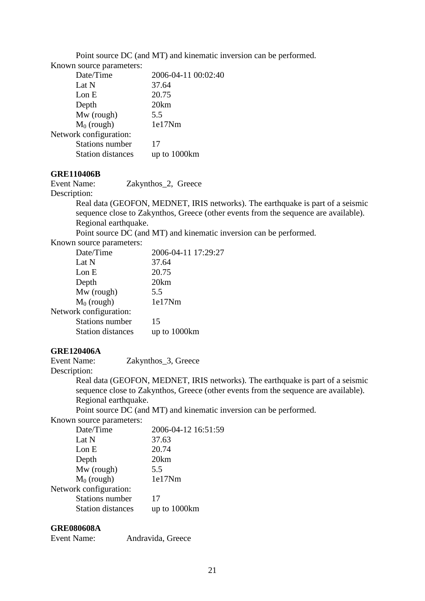Point source DC (and MT) and kinematic inversion can be performed.

Known source parameters:

| Date/Time                | 2006-04-11 00:02:40 |
|--------------------------|---------------------|
| Lat N                    | 37.64               |
| Lon E                    | 20.75               |
| Depth                    | 20km                |
| Mw (rough)               | 5.5                 |
| $M_0$ (rough)            | 1e17Nm              |
| Network configuration:   |                     |
| <b>Stations number</b>   | 17                  |
| <b>Station distances</b> | up to 1000km        |

# **GRE110406B**

Event Name: Zakynthos 2, Greece

## Description:

Real data (GEOFON, MEDNET, IRIS networks). The earthquake is part of a seismic sequence close to Zakynthos, Greece (other events from the sequence are available). Regional earthquake.

Point source DC (and MT) and kinematic inversion can be performed.

Known source parameters:

| 37.64<br>Lat N                           |  |
|------------------------------------------|--|
|                                          |  |
| 20.75<br>Lon E                           |  |
| 20km<br>Depth                            |  |
| Mw (rough)<br>5.5                        |  |
| $M_0$ (rough)<br>1e17Nm                  |  |
| Network configuration:                   |  |
| <b>Stations number</b><br>15             |  |
| <b>Station distances</b><br>up to 1000km |  |

# **GRE120406A**

Event Name: Zakynthos\_3, Greece Description:

Real data (GEOFON, MEDNET, IRIS networks). The earthquake is part of a seismic sequence close to Zakynthos, Greece (other events from the sequence are available). Regional earthquake.

Point source DC (and MT) and kinematic inversion can be performed.

Known source parameters:

| Date/Time                | 2006-04-12 16:51:59 |
|--------------------------|---------------------|
| Lat N                    | 37.63               |
| Lon E                    | 20.74               |
| Depth                    | 20km                |
| Mw (rough)               | 5.5                 |
| $M_0$ (rough)            | 1e17Nm              |
| Network configuration:   |                     |
| <b>Stations number</b>   | 17                  |
| <b>Station distances</b> | up to 1000km        |
|                          |                     |

# **GRE080608A**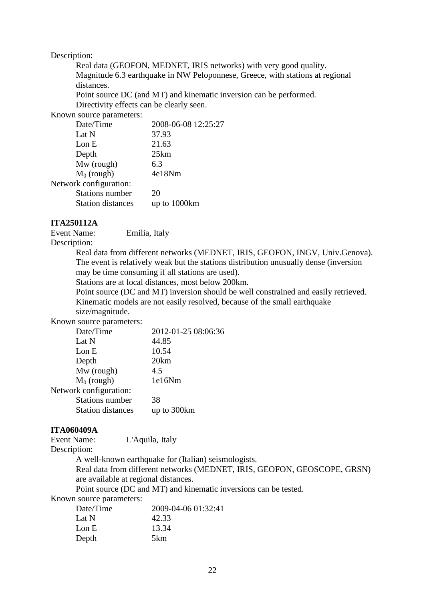#### Description:

Real data (GEOFON, MEDNET, IRIS networks) with very good quality. Magnitude 6.3 earthquake in NW Peloponnese, Greece, with stations at regional distances.

Point source DC (and MT) and kinematic inversion can be performed. Directivity effects can be clearly seen.

Known source parameters:

| 2008-06-08 12:25:27 |
|---------------------|
| 37.93               |
| 21.63               |
| 25km                |
| 6.3                 |
| 4e18Nm              |
|                     |
| 20                  |
| up to 1000km        |
|                     |

# **ITA250112A**

Event Name: Emilia, Italy

Description:

Real data from different networks (MEDNET, IRIS, GEOFON, INGV, Univ.Genova). The event is relatively weak but the stations distribution unusually dense (inversion may be time consuming if all stations are used).

Stations are at local distances, most below 200km.

Point source (DC and MT) inversion should be well constrained and easily retrieved. Kinematic models are not easily resolved, because of the small earthquake size/magnitude.

Known source parameters:

| Date/Time                | 2012-01-25 08:06:36 |
|--------------------------|---------------------|
| Lat N                    | 44.85               |
| Lon E                    | 10.54               |
| Depth                    | 20km                |
| Mw (rough)               | 4.5                 |
| $M_0$ (rough)            | 1e16Nm              |
| Network configuration:   |                     |
| <b>Stations number</b>   | 38                  |
| <b>Station distances</b> | up to 300km         |
|                          |                     |

## **ITA060409A**

Event Name: L'Aquila, Italy Description:

A well-known earthquake for (Italian) seismologists.

Real data from different networks (MEDNET, IRIS, GEOFON, GEOSCOPE, GRSN) are available at regional distances.

Point source (DC and MT) and kinematic inversions can be tested.

Known source parameters:

| Date/Time | 2009-04-06 01:32:41 |
|-----------|---------------------|
| Lat N     | 42.33               |
| Lon $E$   | 13.34               |
| Depth     | 5km                 |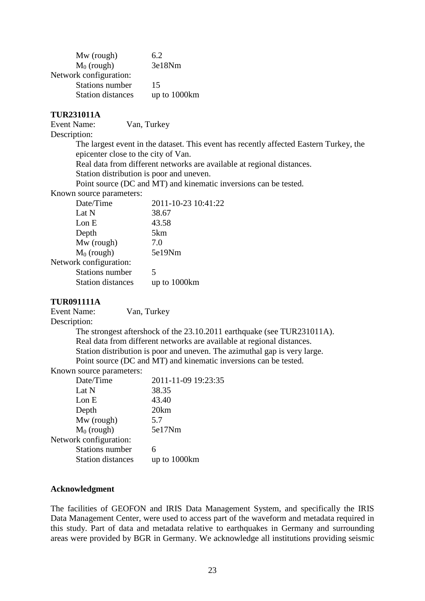| 6.2          |
|--------------|
| 3e18Nm       |
|              |
| 15           |
| up to 1000km |
|              |

# **TUR231011A**

Event Name: Van, Turkey

Description:

The largest event in the dataset. This event has recently affected Eastern Turkey, the epicenter close to the city of Van.

Real data from different networks are available at regional distances.

Station distribution is poor and uneven.

Point source (DC and MT) and kinematic inversions can be tested.

Known source parameters:

| Date/Time                | 2011-10-23 10:41:22 |
|--------------------------|---------------------|
| Lat N                    | 38.67               |
| Lon E                    | 43.58               |
| Depth                    | 5km                 |
| Mw (rough)               | 7.0                 |
| $M_0$ (rough)            | 5e19Nm              |
| Network configuration:   |                     |
| <b>Stations number</b>   | 5                   |
| <b>Station distances</b> | up to 1000km        |
|                          |                     |

## **TUR091111A**

Event Name: Van, Turkey

Description:

The strongest aftershock of the 23.10.2011 earthquake (see TUR231011A). Real data from different networks are available at regional distances. Station distribution is poor and uneven. The azimuthal gap is very large. Point source (DC and MT) and kinematic inversions can be tested.

Known source parameters:

| Date/Time                | 2011-11-09 19:23:35 |
|--------------------------|---------------------|
| Lat N                    | 38.35               |
| Lon E                    | 43.40               |
| Depth                    | 20km                |
| Mw (rough)               | 5.7                 |
| $M_0$ (rough)            | 5e17Nm              |
| Network configuration:   |                     |
| <b>Stations number</b>   | 6                   |
| <b>Station distances</b> | up to 1000km        |
|                          |                     |

## **Acknowledgment**

The facilities of GEOFON and IRIS Data Management System, and specifically the IRIS Data Management Center, were used to access part of the waveform and metadata required in this study. Part of data and metadata relative to earthquakes in Germany and surrounding areas were provided by BGR in Germany. We acknowledge all institutions providing seismic